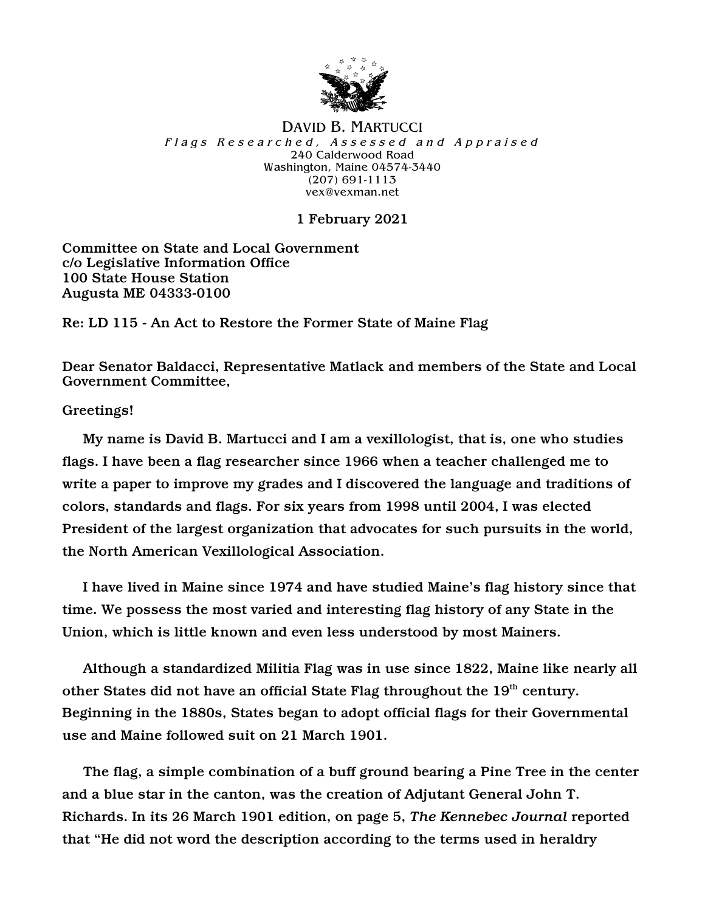

#### DAVID B. MARTUCCI Flags Researched, Assessed and Appraised 240 Calderwood Road Washington, Maine 04574-3440 (207) 691-1113 vex@vexman.net

### 1 February 2021

Committee on State and Local Government c/o Legislative Information Office 100 State House Station Augusta ME 04333-0100

Re: LD 115 - An Act to Restore the Former State of Maine Flag

Dear Senator Baldacci, Representative Matlack and members of the State and Local Government Committee,

#### Greetings!

My name is David B. Martucci and I am a vexillologist, that is, one who studies flags. I have been a flag researcher since 1966 when a teacher challenged me to write a paper to improve my grades and I discovered the language and traditions of colors, standards and flags. For six years from 1998 until 2004, I was elected President of the largest organization that advocates for such pursuits in the world, the North American Vexillological Association.

I have lived in Maine since 1974 and have studied Maine's flag history since that time. We possess the most varied and interesting flag history of any State in the Union, which is little known and even less understood by most Mainers.

Although a standardized Militia Flag was in use since 1822, Maine like nearly all other States did not have an official State Flag throughout the 19<sup>th</sup> century. Beginning in the 1880s, States began to adopt official flags for their Governmental use and Maine followed suit on 21 March 1901.

The flag, a simple combination of a buff ground bearing a Pine Tree in the center and a blue star in the canton, was the creation of Adjutant General John T. Richards. In its 26 March 1901 edition, on page 5, *The Kennebec Journal* reported that "He did not word the description according to the terms used in heraldry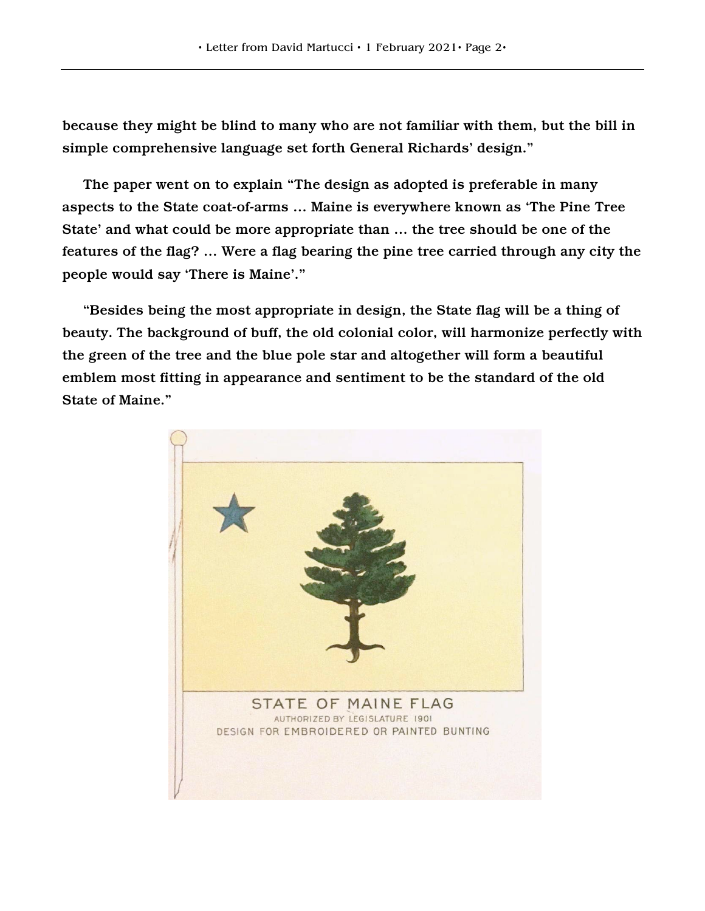because they might be blind to many who are not familiar with them, but the bill in simple comprehensive language set forth General Richards' design."

The paper went on to explain "The design as adopted is preferable in many aspects to the State coat-of-arms … Maine is everywhere known as 'The Pine Tree State' and what could be more appropriate than … the tree should be one of the features of the flag? … Were a flag bearing the pine tree carried through any city the people would say 'There is Maine'."

"Besides being the most appropriate in design, the State flag will be a thing of beauty. The background of buff, the old colonial color, will harmonize perfectly with the green of the tree and the blue pole star and altogether will form a beautiful emblem most fitting in appearance and sentiment to be the standard of the old State of Maine."

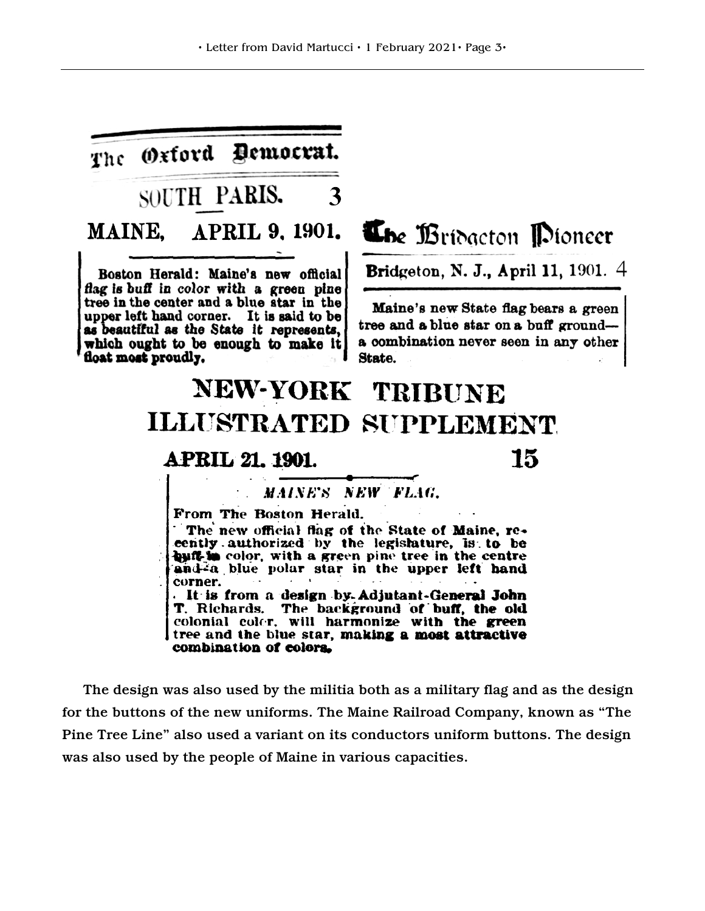The Oxford Democrat. SOUTH PARIS. 3 **MAINE.** APRIL 9. 1901. Boston Herald: Maine's new official flag is buff in color with a green pine tree in the center and a blue star in the upper left hand corner. It is said to be as beautiful as the State it represents. which ought to be enough to make it float most proudly. State. NEW-YORK TRIBUNE ILLUSTRATED SUPPLEMENT **APRIL 21, 1901.** 

MAINE'S NEW FLAG.

From The Boston Herald.

The new official flag of the State of Maine, recently authorized by the legislature, is to be buff in color, with a green pine tree in the centre and-a blue polar star in the upper left hand corner. It is from a design by Adjutant-General John T. Richards. The background of buff, the old colonial coler, will harmonize with the green

tree and the blue star, making a most attractive combination of colors.

The design was also used by the militia both as a military flag and as the design for the buttons of the new uniforms. The Maine Railroad Company, known as "The Pine Tree Line" also used a variant on its conductors uniform buttons. The design was also used by the people of Maine in various capacities.

**Bridgeton, N. J., April 11, 1901.** 4

Maine's new State flag bears a green tree and a blue star on a buff grounda combination never seen in any other

# **The Bridgeton Dioneer**

15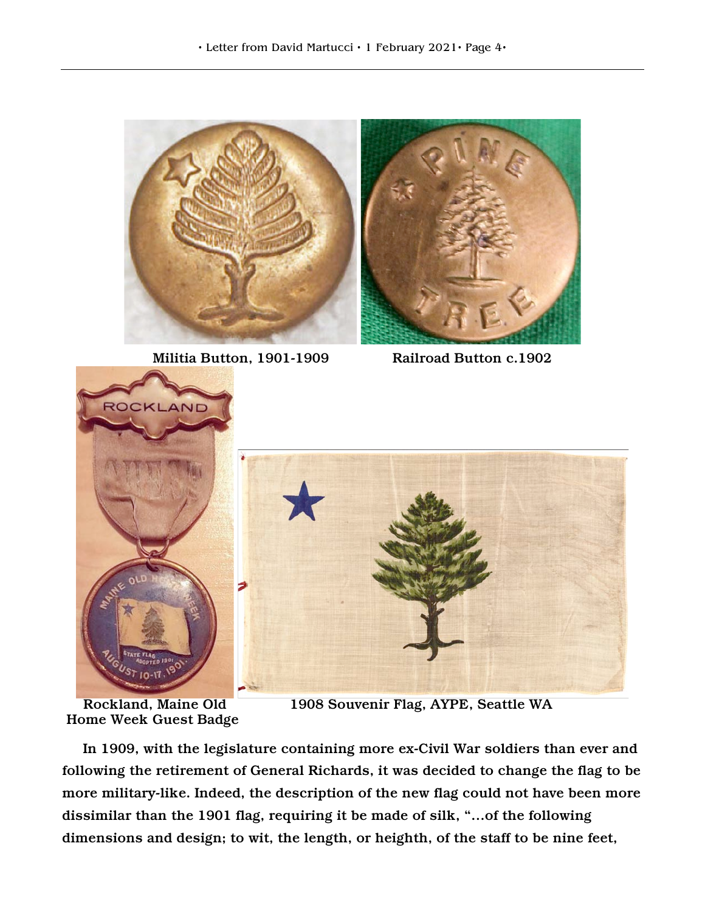

Militia Button, 1901-1909 Railroad Button c.1902





Home Week Guest Badge

Rockland, Maine Old 1908 Souvenir Flag, AYPE, Seattle WA

In 1909, with the legislature containing more ex-Civil War soldiers than ever and following the retirement of General Richards, it was decided to change the flag to be more military-like. Indeed, the description of the new flag could not have been more dissimilar than the 1901 flag, requiring it be made of silk, "…of the following dimensions and design; to wit, the length, or heighth, of the staff to be nine feet,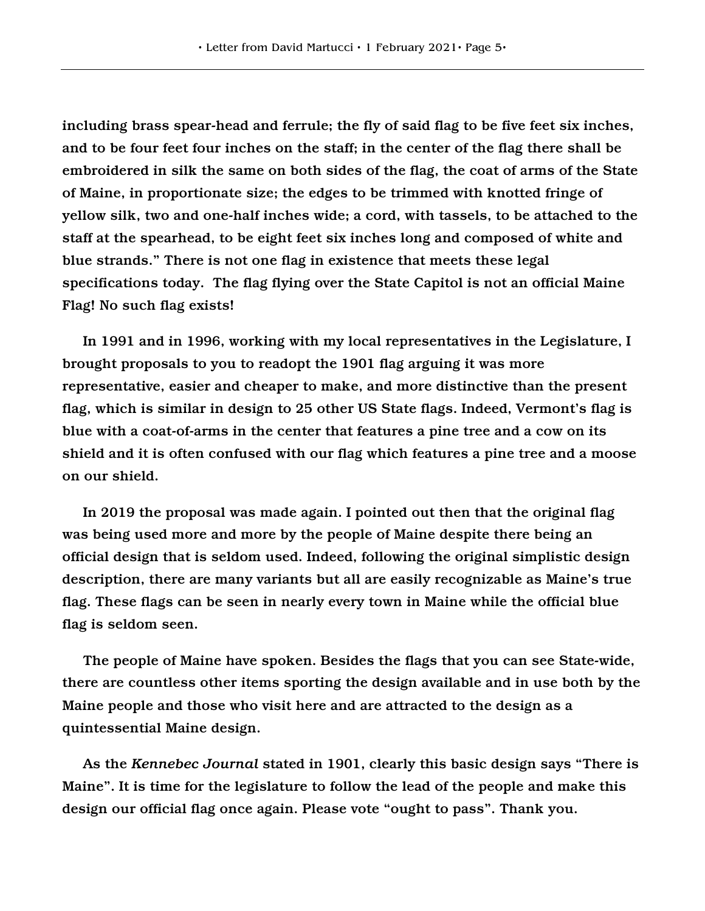including brass spear-head and ferrule; the fly of said flag to be five feet six inches, and to be four feet four inches on the staff; in the center of the flag there shall be embroidered in silk the same on both sides of the flag, the coat of arms of the State of Maine, in proportionate size; the edges to be trimmed with knotted fringe of yellow silk, two and one-half inches wide; a cord, with tassels, to be attached to the staff at the spearhead, to be eight feet six inches long and composed of white and blue strands." There is not one flag in existence that meets these legal specifications today. The flag flying over the State Capitol is not an official Maine Flag! No such flag exists!

In 1991 and in 1996, working with my local representatives in the Legislature, I brought proposals to you to readopt the 1901 flag arguing it was more representative, easier and cheaper to make, and more distinctive than the present flag, which is similar in design to 25 other US State flags. Indeed, Vermont's flag is blue with a coat-of-arms in the center that features a pine tree and a cow on its shield and it is often confused with our flag which features a pine tree and a moose on our shield.

In 2019 the proposal was made again. I pointed out then that the original flag was being used more and more by the people of Maine despite there being an official design that is seldom used. Indeed, following the original simplistic design description, there are many variants but all are easily recognizable as Maine's true flag. These flags can be seen in nearly every town in Maine while the official blue flag is seldom seen.

The people of Maine have spoken. Besides the flags that you can see State-wide, there are countless other items sporting the design available and in use both by the Maine people and those who visit here and are attracted to the design as a quintessential Maine design.

As the *Kennebec Journal* stated in 1901, clearly this basic design says "There is Maine". It is time for the legislature to follow the lead of the people and make this design our official flag once again. Please vote "ought to pass". Thank you.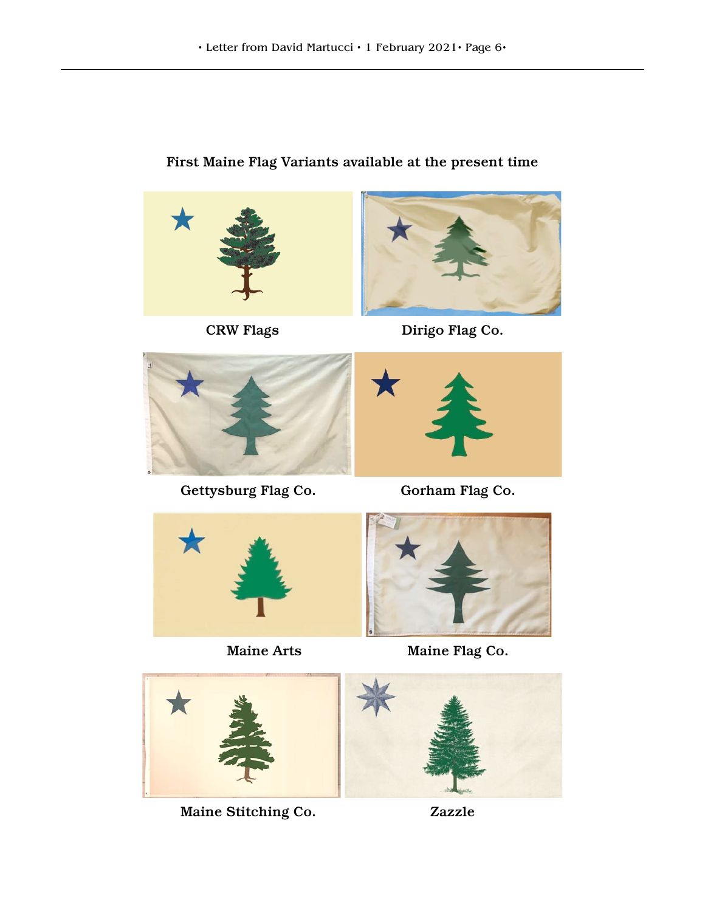First Maine Flag Variants available at the present time





CRW Flags Dirigo Flag Co.



Gettysburg Flag Co. 60Tham Flag Co.







Maine Arts Maine Flag Co.



Maine Stitching Co. Zazzle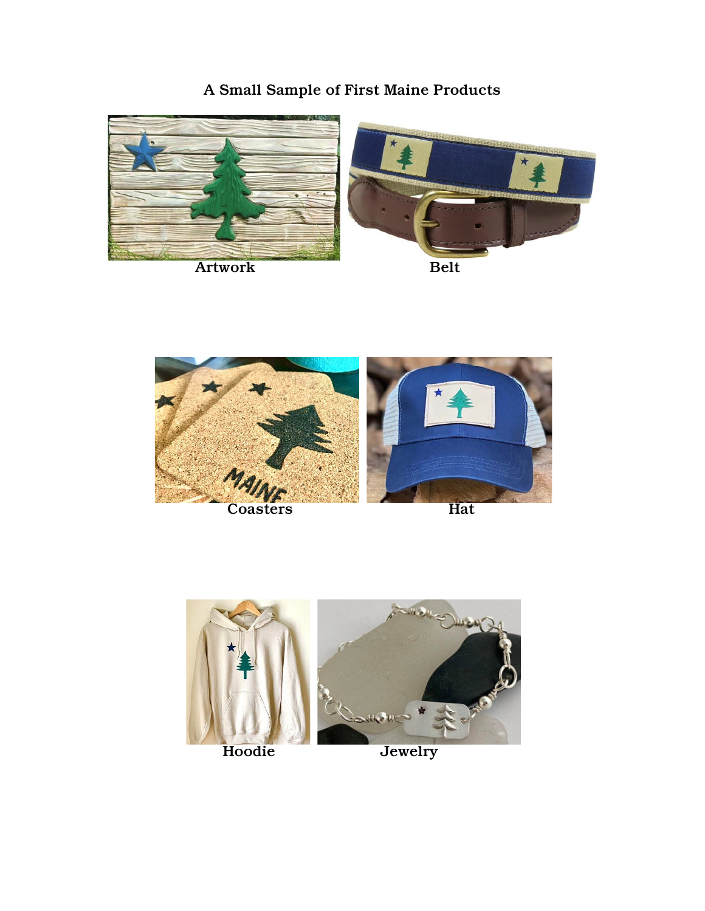## A Small Sample of First Maine Products